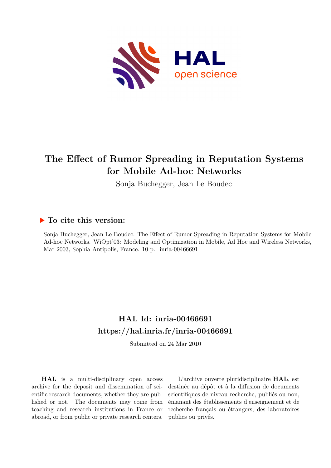

# **The Effect of Rumor Spreading in Reputation Systems for Mobile Ad-hoc Networks**

Sonja Buchegger, Jean Le Boudec

## **To cite this version:**

Sonja Buchegger, Jean Le Boudec. The Effect of Rumor Spreading in Reputation Systems for Mobile Ad-hoc Networks. WiOpt'03: Modeling and Optimization in Mobile, Ad Hoc and Wireless Networks, Mar 2003, Sophia Antipolis, France. 10 p. inria-00466691

# **HAL Id: inria-00466691 <https://hal.inria.fr/inria-00466691>**

Submitted on 24 Mar 2010

**HAL** is a multi-disciplinary open access archive for the deposit and dissemination of scientific research documents, whether they are published or not. The documents may come from teaching and research institutions in France or abroad, or from public or private research centers.

L'archive ouverte pluridisciplinaire **HAL**, est destinée au dépôt et à la diffusion de documents scientifiques de niveau recherche, publiés ou non, émanant des établissements d'enseignement et de recherche français ou étrangers, des laboratoires publics ou privés.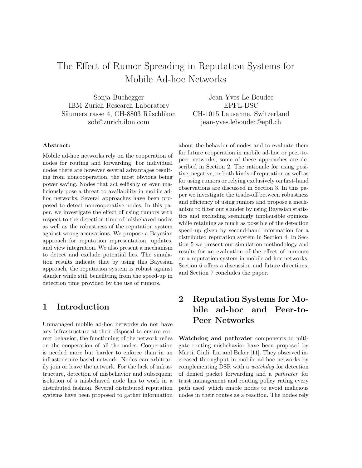# The Effect of Rumor Spreading in Reputation Systems for Mobile Ad-hoc Networks

Sonja Buchegger IBM Zurich Research Laboratory Säumerstrasse 4, CH-8803 Rüschlikon sob@zurich.ibm.com

Jean-Yves Le Boudec EPFL-DSC CH-1015 Lausanne, Switzerland jean-yves.leboudec@epfl.ch

#### Abstract:

Mobile ad-hoc networks rely on the cooperation of nodes for routing and forwarding. For individual nodes there are however several advantages resulting from noncooperation, the most obvious being power saving. Nodes that act selfishly or even maliciously pose a threat to availability in mobile adhoc networks. Several approaches have been proposed to detect noncooperative nodes. In this paper, we investigate the effect of using rumors with respect to the detection time of misbehaved nodes as well as the robustness of the reputation system against wrong accusations. We propose a Bayesian approach for reputation representation, updates, and view integration. We also present a mechanism to detect and exclude potential lies. The simulation results indicate that by using this Bayesian approach, the reputation system is robust against slander while still benefitting from the speed-up in detection time provided by the use of rumors.

## 1 Introduction

Unmanaged mobile ad-hoc networks do not have any infrastructure at their disposal to ensure correct behavior, the functioning of the network relies on the cooperation of all the nodes. Cooperation is needed more but harder to enforce than in an infrastructure-based network. Nodes can arbitrarily join or leave the network. For the lack of infrastructure, detection of misbehavior and subsequent isolation of a misbehaved node has to work in a distributed fashion. Several distributed reputation systems have been proposed to gather information about the behavior of nodes and to evaluate them for future cooperation in mobile ad-hoc or peer-topeer networks, some of these approaches are described in Section 2. The rationale for using positive, negative, or both kinds of reputation as well as for using rumors or relying exclusively on first-hand observations are discussed in Section 3. In this paper we investigate the trade-off between robustness and efficiency of using rumors and propose a mechanism to filter out slander by using Bayesian statistics and excluding seemingly implausible opinions while retaining as much as possible of the detection speed-up given by second-hand information for a distributed reputation system in Section 4. In Section 5 we present our simulation methodology and results for an evaluation of the effect of rumours on a reputation system in mobile ad-hoc networks. Section 6 offers a discussion and future directions, and Section 7 concludes the paper.

## 2 Reputation Systems for Mobile ad-hoc and Peer-to-Peer Networks

Watchdog and pathrater components to mitigate routing misbehavior have been proposed by Marti, Giuli, Lai and Baker [11]. They observed increased throughput in mobile ad-hoc networks by complementing DSR with a watchdog for detection of denied packet forwarding and a pathrater for trust management and routing policy rating every path used, which enable nodes to avoid malicious nodes in their routes as a reaction. The nodes rely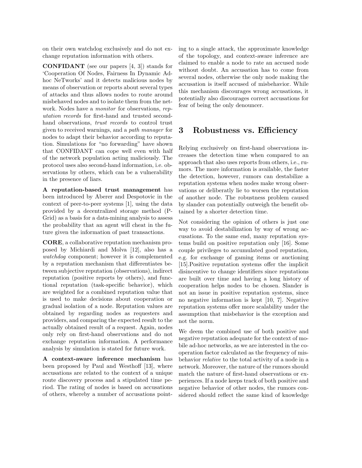on their own watchdog exclusively and do not exchange reputation information with others.

CONFIDANT (see our papers [4, 3]) stands for 'Cooperation Of Nodes, Fairness In Dynamic Adhoc NeTworks' and it detects malicious nodes by means of observation or reports about several types of attacks and thus allows nodes to route around misbehaved nodes and to isolate them from the network. Nodes have a monitor for observations, reputation records for first-hand and trusted secondhand observations, *trust records* to control trust given to received warnings, and a path manager for nodes to adapt their behavior according to reputation. Simulations for "no forwarding" have shown that CONFIDANT can cope well even with half of the network population acting maliciously. The protocol uses also second-hand information, i.e. observations by others, which can be a vulnerability in the presence of liars.

A reputation-based trust management has been introduced by Aberer and Despotovic in the context of peer-to-peer systems [1], using the data provided by a decentralized storage method (P-Grid) as a basis for a data-mining analysis to assess the probability that an agent will cheat in the future given the information of past transactions.

CORE, a collaborative reputation mechanism proposed by Michiardi and Molva [12], also has a watchdog component; however it is complemented by a reputation mechanism that differentiates between subjective reputation (observations), indirect reputation (positive reports by others), and functional reputation (task-specific behavior), which are weighted for a combined reputation value that is used to make decisions about cooperation or gradual isolation of a node. Reputation values are obtained by regarding nodes as requesters and providers, and comparing the expected result to the actually obtained result of a request. Again, nodes only rely on first-hand observations and do not exchange reputation information. A performance analysis by simulation is stated for future work.

A context-aware inference mechanism has been proposed by Paul and Westhoff [13], where accusations are related to the context of a unique route discovery process and a stipulated time period. The rating of nodes is based on accusations of others, whereby a number of accusations pointing to a single attack, the approximate knowledge of the topology, and context-aware inference are claimed to enable a node to rate an accused node without doubt. An accusation has to come from several nodes, otherwise the only node making the accusation is itself accused of misbehavior. While this mechanism discourages wrong accusations, it potentially also discourages correct accusations for fear of being the only denouncer.

## 3 Robustness vs. Efficiency

Relying exclusively on first-hand observations increases the detection time when compared to an approach that also uses reports from others, i.e., rumors. The more information is available, the faster the detection, however, rumors can destabilize a reputation systems when nodes make wrong observations or deliberatly lie to worsen the reputation of another node. The robustness problem caused by slander can potentially outweigh the benefit obtained by a shorter detection time.

Not considering the opinion of others is just one way to avoid destabilization by way of wrong accusations. To the same end, many reputation systems build on positive reputation only [16]. Some couple privileges to accumulated good reputation, e.g. for exchange of gaming items or auctioning [15].Positive reputation systems offer the implicit disincentive to change identifiers since reputations are built over time and having a long history of cooperation helps nodes to be chosen. Slander is not an issue in positive reputation systems, since no negative information is kept [10, 7]. Negative reputation systems offer more scalability under the assumption that misbehavior is the exception and not the norm.

We deem the combined use of both positive and negative reputation adequate for the context of mobile ad-hoc networks, as we are interested in the cooperation factor calculated as the frequency of misbehavior relative to the total activity of a node in a network. Moreover, the nature of the rumors should match the nature of first-hand observations or experiences. If a node keeps track of both positive and negative behavior of other nodes, the rumors considered should reflect the same kind of knowledge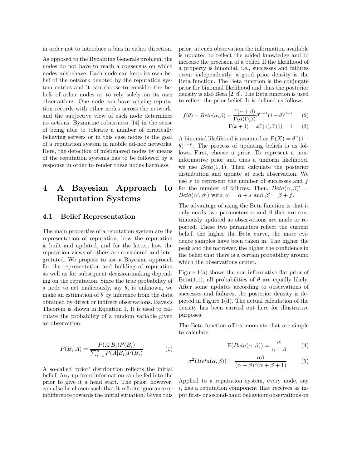in order not to introduce a bias in either direction.

As opposed to the Byzantine Generals problem, the nodes do not have to reach a consensus on which nodes misbehave. Each node can keep its own belief of the network denoted by the reputation system entries and it can choose to consider the beliefs of other nodes or to rely solely on its own observations. One node can have varying reputation records with other nodes across the network, and the subjective view of each node determines its actions. Byzantine robustness [14] in the sense of being able to tolerate a number of erratically behaving servers or in this case nodes is the goal of a reputation system in mobile ad-hoc networks. Here, the detection of misbehaved nodes by means of the reputation systems has to be followed by a response in order to render these nodes harmless.

## 4 A Bayesian Approach to Reputation Systems

#### 4.1 Belief Representation

The main properties of a reputation system are the representation of reputation, how the reputation is built and updated, and for the latter, how the reputation views of others are considered and integretated. We propose to use a Bayesian approach for the representation and building of reputation as well as for subsequent decision-making depending on the reputation. Since the true probability of a node to act maliciously, say  $\theta$ , is unknown, we make an estimation of  $\theta$  by inference from the data obtained by direct or indirect observations. Bayes's Theorem is shown in Equation 1. It is used to calculate the probability of a random variable given an observation.

$$
P(B_i|A) = \frac{P(A|B_i)P(B_i)}{\sum_{i=1}^{n} P(A|B_i)P(B_i)}
$$
(1)

A so-called 'prior' distribution reflects the initial belief. Any up-front information can be fed into the prior to give it a head start. The prior, however, can also be chosen such that it reflects ignorance or indifference towards the initial situation. Given this prior, at each observation the information available is updated to reflect the added knowledge and to increase the precision of a belief. If the likelihood of a property is binomial, i.e., successes and failures occur independently, a good prior density is the Beta function. The Beta function is the conjugate prior for binomial likelihood and thus the posterior density is also Beta [2, 6]. The Beta function is used to reflect the prior belief. It is defined as follows.

$$
f(\theta) = Beta(\alpha, \beta) = \frac{\Gamma(\alpha + \beta)}{\Gamma(\alpha)\Gamma(\beta)} \theta^{\alpha - 1} (1 - \theta)^{\beta - 1}
$$
 (2)

$$
\Gamma(x+1) = x\Gamma(x), \Gamma(1) = 1 \qquad (3)
$$

A binomial likelihood is assumed as  $P(X) = \theta^n (1 \theta$ )<sup>1-n</sup>. The process of updating beliefs is as follows. First, choose a prior. To represent a noninformative prior and thus a uniform likelihood, we use  $Beta(1, 1)$ . Then calculate the posterior distribution and update at each observation. We use  $s$  to represent the number of successes and  $f$ for the number of failures. Then,  $Beta(\alpha, \beta)' =$  $Beta(\alpha', \beta')$  with  $\alpha' = \alpha + s$  and  $\beta' = \beta + f$ .

The advantage of using the Beta function is that it only needs two parameters  $\alpha$  and  $\beta$  that are continuously updated as observations are made or reported. These two parameters reflect the current belief, the higher the Beta curve, the more evidence samples have been taken in. The higher the peak and the narrower, the higher the confidence in the belief that there is a certain probability around which the observations center.

Figure 1(a) shows the non-informative flat prior of Beta(1,1), all probabilities of  $\theta$  are equally likely. After some updates according to observations of successes and failures, the posterior density is depicted in Figure 1(d). The actual calculation of the density has been carried out here for illustrative purposes.

The Beta function offers moments that are simple to calculate.

$$
\mathbb{E}(Beta(\alpha, \beta)) = \frac{\alpha}{\alpha + \beta} \tag{4}
$$

$$
\sigma^{2}(Beta(\alpha, \beta)) = \frac{\alpha \beta}{(\alpha + \beta)^{2}(\alpha + \beta + 1)}
$$
(5)

Applied to a reputation system, every node, say  $i$ , has a reputation component that receives as input first- or second-hand behaviour observations on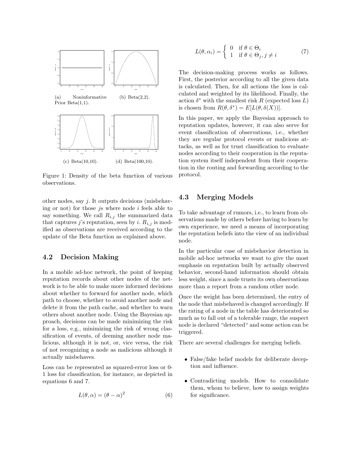

Figure 1: Density of the beta function of various observations.

other nodes, say j. It outputs decisions (misbehaving or not) for those *js* where node  $i$  feels able to say something. We call  $R_{i,j}$  the summarized data that captures j's reputation, seen by i.  $R_{i,j}$  is modified as observations are received according to the update of the Beta function as explained above.

### 4.2 Decision Making

In a mobile ad-hoc network, the point of keeping reputation records about other nodes of the network is to be able to make more informed decisions about whether to forward for another node, which path to choose, whether to avoid another node and delete it from the path cache, and whether to warn others about another node. Using the Bayesian approach, decisions can be made minimizing the risk for a loss, e.g., minimizing the risk of wrong classification of events, of deeming another node malicious, although it is not, or, vice versa, the risk of not recognizing a node as malicious although it actually misbehaves.

Loss can be represented as squared-error loss or 0- 1 loss for classification, for instance, as depicted in equations 6 and 7.

$$
L(\theta, \alpha) = (\theta - \alpha)^2 \tag{6}
$$

$$
L(\theta, \alpha_i) = \begin{cases} 0 & \text{if } \theta \in \Theta_i \\ 1 & \text{if } \theta \in \Theta_j, j \neq i \end{cases}
$$
 (7)

The decision-making process works as follows. First, the posterior according to all the given data is calculated. Then, for all actions the loss is calculated and weighted by its likelihood. Finally, the action  $\delta^*$  with the smallest risk R (expected loss L) is chosen from  $R(\theta, \delta^*) = E[L(\theta, \delta(X))].$ 

In this paper, we apply the Bayesian approach to reputation updates, however, it can also serve for event classification of observations, i.e., whether they are regular protocol events or malicious attacks, as well as for trust classification to evaluate nodes according to their cooperation in the reputation system itself independent from their cooperation in the routing and forwarding according to the protocol.

### 4.3 Merging Models

To take advantage of rumors, i.e., to learn from observations made by others before having to learn by own experience, we need a means of incorporating the reputation beliefs into the view of an individual node.

In the particular case of misbehavior detection in mobile ad-hoc networks we want to give the most emphasis on reputation built by actually observed behavior, second-hand information should obtain less weight, since a node trusts its own observations more than a report from a random other node.

Once the weight has been determined, the entry of the node that misbehaved is changed accordingly. If the rating of a node in the table has deteriorated so much as to fall out of a tolerable range, the suspect node is declared "detected" and some action can be triggered.

There are several challenges for merging beliefs.

- False/fake belief models for deliberate deception and influence.
- Contradicting models. How to consolidate them, whom to believe, how to assign weights for significance.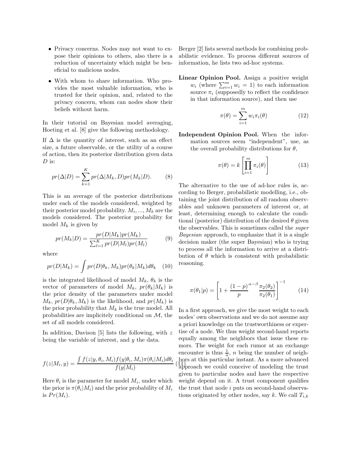- Privacy concerns. Nodes may not want to expose their opinions to others, also there is a reduction of uncertainty which might be beneficial to malicious nodes.
- With whom to share information. Who provides the most valuable information, who is trusted for their opinion, and, related to the privacy concern, whom can nodes show their beliefs without harm.

In their tutorial on Bayesian model averaging, Hoeting et al. [8] give the following methodology.

If  $\Delta$  is the quantity of interest, such as an effect size, a future observable, or the utility of a course of action, then its posterior distribution given data  $D$  is:

$$
pr(\Delta|D) = \sum_{k=1}^{K} pr(\Delta|M_k, D)pr(M_k|D). \tag{8}
$$

This is an average of the posterior distributions under each of the models considered, weighted by their posterior model probability.  $M_i, ..., M_k$  are the models considered. The posterior probability for model  $M_k$  is given by

$$
pr(M_k|D) = \frac{pr(D|M_k)pr(M_k)}{\sum_{l=1}^{K} pr(D|M_l)pr(M_l)}
$$
(9)

where

$$
pr(D|M_k) = \int pr(D|\theta_k, M_k)pr(\theta_k|M_k)d\theta_k \quad (10)
$$

is the integrated likelihood of model  $M_k$ ,  $\theta_k$  is the vector of parameters of model  $M_k$ ,  $pr(\theta_k|M_k)$  is the prior density of the parameters under model  $M_k$ ,  $pr(D|\theta_k, M_k)$  is the likelihood, and  $pr(M_k)$  is the prior probability that  $M_k$  is the true model. All probabilities are implicitely conditional on  $M$ , the set of all models considered.

In addition, Davison  $[5]$  lists the following, with z being the variable of interest, and y the data.

$$
f(z|M_i, y) = \frac{\int f(z|y, \theta_i, M_i) f(y|\theta_i, M_i) \pi(\theta_i|M_i) d\theta_i}{f(y|M_i)}
$$

Here  $\theta_i$  is the parameter for model  $M_i$ , under which the prior is  $\pi(\theta_i|M_i)$  and the prior probability of  $M_i$ is  $Pr(M_i)$ .

Berger [2] lists several methods for combining probabilistic evidence. To process different sources of information, he lists two ad-hoc systems.

Linear Opinion Pool. Assign a positive weight  $w_i$  (where  $\sum_{i=1}^m w_i = 1$ ) to each information source  $\pi_i$  (supposedly to reflect the confidence in that information source), and then use

$$
\pi(\theta) = \sum_{i=1}^{m} w_i \pi_i(\theta) \tag{12}
$$

Independent Opinion Pool. When the information sources seem "independent", use, as the overall probability distributions for  $\theta$ ,

$$
\pi(\theta) = k \left[ \prod_{i=1}^{m} \pi_i(\theta) \right] \tag{13}
$$

The alternative to the use of ad-hoc rules is, according to Berger, probabilistic modelling, i.e., obtaining the joint distribution of all random observables and unknown parameters of interest or, at least, determining enough to calculate the conditional (posterior) distribution of the desired  $\theta$  given the observables. This is sometimes called the super Bayesian approach, to emphasize that it is a single decision maker (the super Bayesian) who is trying to process all the information to arrive at a distribution of  $\theta$  which is consistent with probabilistic reasoning.

$$
\pi(\theta_1|p) = \left[1 + \frac{(1-p)^{\alpha-\beta}\pi_2(\theta_2)}{p}\right]^{-1}
$$
 (14)

(11) bors at this particular instant. As a more advanced In a first approach, we give the most weight to each nodes' own observations and we do not assume any a priori knowledge on the trustworthiness or expertise of a node. We thus weight second-hand reports equally among the neighbors that issue these rumors. The weight for each rumor at an exchange encounter is thus  $\frac{1}{n}$ , *n* being the number of neighapproach we could conceive of modeling the trust given to particular nodes and have the respective weight depend on it. A trust component qualifies the trust that node i puts on second-hand observations originated by other nodes, say k. We call  $T_{i,k}$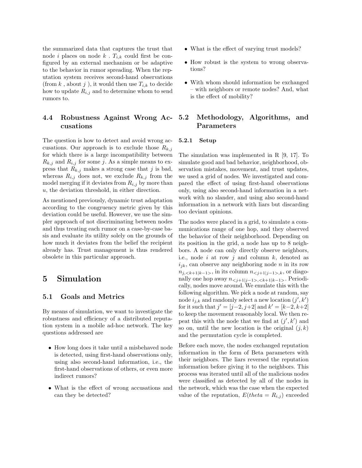the summarized data that captures the trust that node i places on node k.  $T_{i,k}$  could first be configured by an external mechanism or be adaptive to the behavior in rumor spreading. When the reputation system receives second-hand observations (from k, about j), it would then use  $T_{i,k}$  to decide how to update  $R_{i,j}$  and to determine whom to send rumors to.

### 4.4 Robustness Against Wrong Accusations

The question is how to detect and avoid wrong accusations. Our approach is to exclude those  $R_{k,j}$ for which there is a large incompatibility between  $R_{k,j}$  and  $R_{i,j}$  for some j. As a simple means to express that  $R_{k,j}$  makes a strong case that j is bad, whereas  $R_{i,j}$  does not, we exclude  $R_{k,j}$  from the model merging if it deviates from  $R_{i,j}$  by more than u, the deviation threshold, in either direction.

As mentioned previously, dynamic trust adaptation according to the congruency metric given by this deviation could be useful. However, we use the simpler approach of not discriminating between nodes and thus treating each rumor on a case-by-case basis and evaluate its utility solely on the grounds of how much it deviates from the belief the recipient already has. Trust management is thus rendered obsolete in this particular approach.

## 5 Simulation

#### 5.1 Goals and Metrics

By means of simulation, we want to investigate the robustness and efficiency of a distributed reputation system in a mobile ad-hoc network. The key questions addressed are

- How long does it take until a misbehaved node is detected, using first-hand observations only, using also second-hand information, i.e., the first-hand observations of others, or even more indirect rumors?
- What is the effect of wrong accusations and can they be detected?
- What is the effect of varying trust models?
- How robust is the system to wrong observations?
- With whom should information be exchanged – with neighbors or remote nodes? And, what is the effect of mobility?

### 5.2 Methodology, Algorithms, and Parameters

#### 5.2.1 Setup

The simulation was implemented in R [9, 17]. To simulate good and bad behavior, neighborhood, observation mistakes, movement, and trust updates, we used a grid of nodes. We investigated and compared the effect of using first-hand observations only, using also second-hand information in a network with no slander, and using also second-hand information in a network with liars but discarding too deviant opinions.

The nodes were placed in a grid, to simulate a communications range of one hop, and they observed the behavior of their neighborhood. Depending on its position in the grid, a node has up to 8 neighbors. A node can only directly observe neighbors, i.e., node  $i$  at row  $j$  and column  $k$ , denoted as  $i_{ik}$ , can observe any neighboring node n in its row  $n_{j,},$  in its column  $n_{< j+1|j-1> ,k}$ , or diagonally one hop away  $n_{< j+1|j-1>, < k+1|k-1>}$ . Periodically, nodes move around. We emulate this with the following algorithm. We pick a node at random, say node  $i_{j,k}$  and randomly select a new location  $(j', k')$ for it such that  $j' = [j-2, j+2]$  and  $k' = [k-2, k+2]$ to keep the movement reasonably local. We then repeat this with the node that we find at  $(j', k')$  and so on, until the new location is the original  $(j, k)$ and the permutation cycle is completed.

Before each move, the nodes exchanged reputation information in the form of Beta parameters with their neighbors. The liars reversed the reputation information before giving it to the neighbors. This process was iterated until all of the malicious nodes were classified as detected by all of the nodes in the network, which was the case when the expected value of the reputation,  $E(theta = R_{i,j})$  exceeded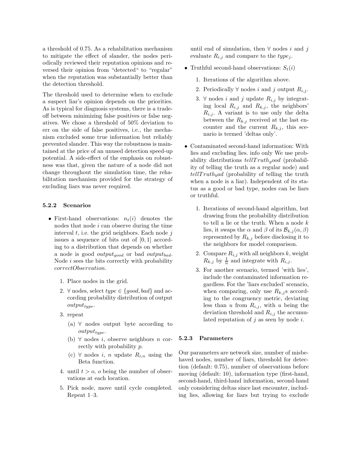a threshold of 0.75. As a rehabilitation mechanism to mitigate the effect of slander, the nodes periodically reviewed their reputation opinions and reversed their opinion from "detected" to "regular" when the reputation was substantially better than the detection threshold.

The threshold used to determine when to exclude a suspect liar's opinion depends on the priorities. As is typical for diagnosis systems, there is a tradeoff between minimizing false positives or false negatives. We chose a threshold of 50% deviation to err on the side of false positives, i.e., the mechanism excluded some true information but reliably prevented slander. This way the robustness is maintained at the price of an unused detection speed-up potential. A side-effect of the emphasis on robustness was that, given the nature of a node did not change throughout the simulation time, the rehabilitation mechanism provided for the strategy of excluding liars was never required.

#### 5.2.2 Scenarios

- First-hand observations:  $n_t(i)$  denotes the nodes that node i can observe during the time interval  $t$ , i.e. the grid neighbors. Each node  $j$ issues a sequence of bits out of [0, 1] according to a distribution that depends on whether a node is good *output*<sub>good</sub> or bad *output*<sub>bad</sub>. Node i sees the bits correctly with probability correctObservation.
	- 1. Place nodes in the grid.
	- 2.  $\forall$  nodes, select  $type \in \{good, bad\}$  and according probability distribution of output  $output_{type}.$
	- 3. repeat
		- (a)  $\forall$  nodes output byte according to  $output_{type}.$
		- (b)  $∀$  nodes *i*, observe neighbors *n* correctly with probability p.
		- (c)  $\forall$  nodes *i*, *n* update  $R_{i,n}$  using the Beta function.
	- 4. until  $t > o$ , o being the number of observations at each location.
	- 5. Pick node, move until cycle completed. Repeat 1–3.

until end of simulation, then  $\forall$  nodes i and j evaluate  $R_{i,j}$  and compare to the  $type_i$ .

- Truthful second-hand observations:  $S_t(i)$ 
	- 1. Iterations of the algorithm above.
	- 2. Periodically  $\forall$  nodes i and j output  $R_{i,j}$ .
	- 3. ∀ nodes *i* and *j* update  $R_{i,j}$  by integrating local  $R_{i,j}$  and  $R_{k,j}$ , the neighbors'  $R_{i,j}$ . A variant is to use only the delta between the  $R_{k,j}$  received at the last encounter and the current  $R_{k,j}$ , this scenario is termed 'deltas only'.
- Contaminated second-hand information: With lies and excluding lies. info only We use probability distributions  $tellTruth<sub>q</sub>ood$  (probability of telling the truth as a regular node) and  $tellTruth_bad$  (probability of telling the truth when a node is a liar). Independent of its status as a good or bad type, nodes can be liars or truthful.
	- 1. Iterations of second-hand algorithm, but drawing from the probability distribution to tell a lie or the truth. When a node k lies, it swaps the  $\alpha$  and  $\beta$  of its  $\mathcal{B}_{k,j}(\alpha,\beta)$ represented by  $R_{k,j}$  before disclosing it to the neighbors for model comparison.
	- 2. Compare  $R_{i,j}$  with all neighbors k, weight  $R_{k,j}$  by  $\frac{1}{n}$  and integrate with  $R_{i,j}$ .
	- 3. For another scenario, termed 'with lies', include the contaminated information regardless. For the 'liars excluded' scenario, when comparing, only use  $R_{k,j}$  according to the congruency metric, deviating less than u from  $R_{i,j}$ , with u being the deviation threshold and  $R_{i,j}$  the accumulated reputation of  $i$  as seen by node  $i$ .

#### 5.2.3 Parameters

Our parameters are network size, number of misbehaved nodes, number of liars, threshold for detection (default: 0.75), number of observations before moving (default: 10), information type (first-hand, second-hand, third-hand information, second-hand only considering deltas since last encounter, including lies, allowing for liars but trying to exclude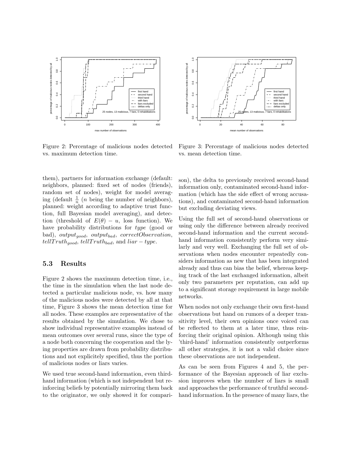

Figure 2: Percentage of malicious nodes detected vs. maximum detection time.

them), partners for information exchange (default: neighbors, planned: fixed set of nodes (friends), random set of nodes), weight for model averaging (default  $\frac{1}{n}$  (*n* being the number of neighbors), planned: weight according to adaptive trust function, full Bayesian model averaging), and detection (threshold of  $E(\theta) - u$ , loss function). We have probability distributions for type (good or bad), output<sub>aood</sub>, output<sub>bad</sub>, correctObservation,  $tellTruth_{good}, tellTruth_{bad},$  and  $liar-type.$ 

#### 5.3 Results

Figure 2 shows the maximum detection time, i.e., the time in the simulation when the last node detected a particular malicious node, vs. how many of the malicious nodes were detected by all at that time, Figure 3 shows the mean detection time for all nodes. These examples are representative of the results obtained by the simulation. We chose to show individual representative examples instead of mean outcomes over several runs, since the type of a node both concerning the cooperation and the lying properties are drawn from probability distributions and not explicitely specified, thus the portion of malicious nodes or liars varies.

We used true second-hand information, even thirdhand information (which is not independent but reinforcing beliefs by potentially mirroring them back to the originator, we only showed it for compari-



Figure 3: Percentage of malicious nodes detected vs. mean detection time.

son), the delta to previously received second-hand information only, contaminated second-hand information (which has the side effect of wrong accusations), and contaminated second-hand information but excluding deviating views.

Using the full set of second-hand observations or using only the difference between already received second-hand information and the current secondhand information consistently perform very similarly and very well. Exchanging the full set of observations when nodes encounter repeatedly considers information as new that has been integrated already and thus can bias the belief, whereas keeping track of the last exchanged information, albeit only two parameters per reputation, can add up to a significant storage requirement in large mobile networks.

When nodes not only exchange their own first-hand observations but hand on rumors of a deeper transitivity level, their own opinions once voiced can be reflected to them at a later time, thus reinforcing their original opinion. Although using this 'third-hand' information consistently outperforms all other strategies, it is not a valid choice since these observations are not independent.

As can be seen from Figures 4 and 5, the performance of the Bayesian approach of liar exclusion improves when the number of liars is small and approaches the performance of truthful secondhand information. In the presence of many liars, the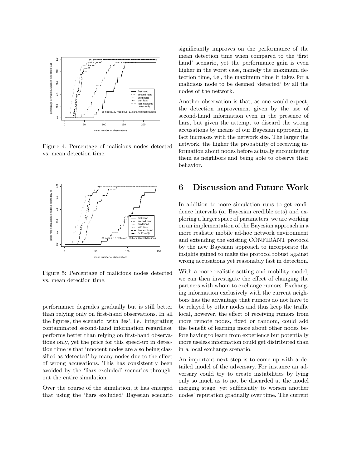

Figure 4: Percentage of malicious nodes detected vs. mean detection time.



Figure 5: Percentage of malicious nodes detected vs. mean detection time.

performance degrades gradually but is still better than relying only on first-hand observations. In all the figures, the scenario 'with lies', i.e., integrating contaminated second-hand information regardless, performs better than relying on first-hand observations only, yet the price for this speed-up in detection time is that innocent nodes are also being classified as 'detected' by many nodes due to the effect of wrong accusations. This has consistently been avoided by the 'liars excluded' scenarios throughout the entire simulation.

Over the course of the simulation, it has emerged that using the 'liars excluded' Bayesian scenario significantly improves on the performance of the mean detection time when compared to the 'first hand' scenario, yet the performance gain is even higher in the worst case, namely the maximum detection time, i.e., the maximum time it takes for a malicious node to be deemed 'detected' by all the nodes of the network.

Another observation is that, as one would expect, the detection improvement given by the use of second-hand information even in the presence of liars, but given the attempt to discard the wrong accusations by means of our Bayesian approach, in fact increases with the network size. The larger the network, the higher the probability of receiving information about nodes before actually encountering them as neighbors and being able to observe their behavior.

## 6 Discussion and Future Work

In addition to more simulation runs to get confidence intervals (or Bayesian credible sets) and exploring a larger space of parameters, we are working on an implementation of the Bayesian approach in a more realistic mobile ad-hoc network environment and extending the existing CONFIDANT protocol by the new Bayesian approach to incorporate the insights gained to make the protocol robust against wrong accusations yet reasonably fast in detection.

With a more realistic setting and mobility model, we can then investigate the effect of changing the partners with whom to exchange rumors. Exchanging information exclusively with the current neighbors has the advantage that rumors do not have to be relayed by other nodes and thus keep the traffic local, however, the effect of receiving rumors from more remote nodes, fixed or random, could add the benefit of learning more about other nodes before having to learn from experience but potentially more useless information could get distributed than in a local exchange scenario.

An important next step is to come up with a detailed model of the adversary. For instance an adversary could try to create instabilities by lying only so much as to not be discarded at the model merging stage, yet sufficiently to worsen another nodes' reputation gradually over time. The current